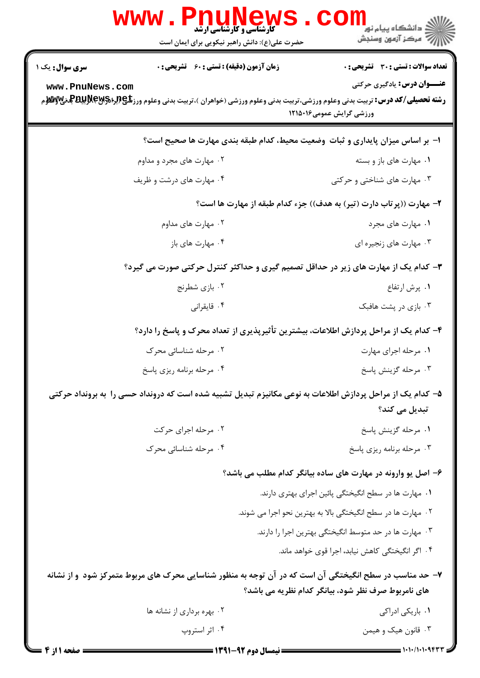| w w w                  | <b>کارشناسی و کارشناسی ارشد</b><br>حضرت علی(ع): دانش راهبر نیکویی برای ایمان است                                                                       | ≦ دانشگاه پيام نو <mark>ر</mark><br>رِ ۖ مرڪز آزمون وسنڊش           |
|------------------------|--------------------------------------------------------------------------------------------------------------------------------------------------------|---------------------------------------------------------------------|
| <b>سری سوال :</b> یک ۱ | <b>زمان آزمون (دقیقه) : تستی : 60 ٪ تشریحی : 0</b>                                                                                                     | تعداد سوالات : تستي : 30 ٪ تشريحي : 0                               |
| www.PnuNews.com        | <b>رشته تحصیلی/کد درس:</b> تربیت بدنی وعلوم ورزشی،تربیت بدنی وعلوم ورزشی (خواهران )،تربیت بدنی وعلوم ورز <b>شگی(لپلیتش به تصیلی/کد درس:</b> تربیت بدنی | <b>عنـــوان درس:</b> یادگیری حرکتی<br>ورزشی گرایش عمومی۱۲۱۵۰۱۶      |
|                        | ا- بر اساس میزان پایداری و ثبات وضعیت محیط، کدام طبقه بندی مهارت ها صحیح است؟                                                                          |                                                                     |
|                        | ۰۲ مهارت های مجرد و مداوم                                                                                                                              | ۰۱ مهارت های باز و بسته                                             |
|                        | ۰۴ مهارت های درشت و ظریف                                                                                                                               | ۰۳ مهارت های شناختی و حرکتی                                         |
|                        |                                                                                                                                                        | ۲- مهارت ((پرتاب دارت (تیر) به هدف)) جزء کدام طبقه از مهارت ها است؟ |
|                        | ۰۲ مهارت های مداوم                                                                                                                                     | ۰۱ مهارت های مجرد                                                   |
|                        | ۰۴ مهارت های باز                                                                                                                                       | ۰۳ مهارت های زنجیره ای                                              |
|                        | ۳- کدام یک از مهارت های زیر در حداقل تصمیم گیری و حداکثر کنترل حرکتی صورت می گیرد؟                                                                     |                                                                     |
|                        | ۰۲ بازی شطرنج                                                                                                                                          | ۰۱ پرش ارتفاع                                                       |
|                        | ۰۴ قايقراني                                                                                                                                            | ۰۳ بازی در پشت هافبک                                                |
|                        | ۴– کدام یک از مراحل پردازش اطلاعات، بیشترین تأثیرپذیری از تعداد محرک و پاسخ را دارد؟                                                                   |                                                                     |
|                        | ۰۲ مرحله شناسائی محرک                                                                                                                                  | ۰۱ مرحله اجرای مهارت                                                |
|                        | ۰۴ مرحله برنامه ریزی پاسخ                                                                                                                              | ۰۳ مرحله گزينش پاسخ                                                 |
|                        | ۵– کدام یک از مراحل پردازش اطلاعات به نوعی مکانیزم تبدیل تشبیه شده است که درونداد حسی را  به برونداد حرکتی                                             | تبدیل م <i>ی</i> کند؟                                               |
|                        | ۲. مرحله اجرای حرکت                                                                                                                                    | ٠١ مرحله گزينش پاسخ                                                 |
|                        | ۰۴ مرحله شناسائی محرک                                                                                                                                  | ۰۳ مرحله برنامه ريزي پاسخ                                           |
|                        |                                                                                                                                                        | ۶- اصل یو وارونه در مهارت های ساده بیانگر کدام مطلب می باشد؟        |
|                        |                                                                                                                                                        | ۰۱ مهارت ها در سطح انگیختگی پائین اجرای بهتری دارند.                |
|                        |                                                                                                                                                        | ۰۲ مهارت ها در سطح انگیختگی بالا به بهترین نحو اجرا می شوند.        |
|                        |                                                                                                                                                        | ۰۳ مهارت ها در حد متوسط انگیختگی بهترین اجرا را دارند.              |
|                        |                                                                                                                                                        | ۴. اگر انگیختگی کاهش نیابد، اجرا قوی خواهد ماند.                    |
|                        | ۷– حد مناسب در سطح انگیختگی آن است که در آن توجه به منظور شناسایی محرک های مربوط متمرکز شود ًو از نشانه                                                | های نامربوط صرف نظر شود، بیانگر کدام نظریه می باشد؟                 |
|                        | ۰۲ بهره برداری از نشانه ها                                                                                                                             | ۰۱ باریکی ادراکی                                                    |
|                        | ۰۴ اثر استروپ                                                                                                                                          | ۰۳ قانون هيک و هيمن                                                 |
| صفحه 11;               | <b>== نیمسال دوم 92-1391 <del>======</del></b>                                                                                                         |                                                                     |

. RT.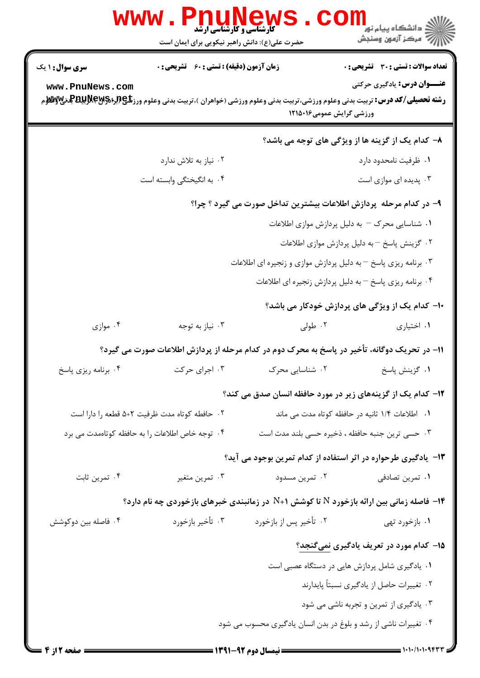| $\mathbf{www}$ .                                | <b>PNUNEW</b><br><b>5 کارشناسی و کارشناسی ارشد</b><br>حضرت علی(ع): دانش راهبر نیکویی برای ایمان است |                                                                                              | الاد دانشگاه پیام نور ۲ <mark>۰۰</mark><br>الاز مرکز آزمون وسنجش |
|-------------------------------------------------|-----------------------------------------------------------------------------------------------------|----------------------------------------------------------------------------------------------|------------------------------------------------------------------|
| <b>سری سوال :</b> ۱ یک                          | زمان آزمون (دقیقه) : تستی : 60 ٪ تشریحی : 0                                                         |                                                                                              | <b>تعداد سوالات : تستی : 30 ٪ تشریحی : 0</b>                     |
| www.PnuNews.com                                 |                                                                                                     | ورزشی گرایش عمومی۱۲۱۵۰۱۶                                                                     | <b>عنـــوان درس:</b> يادگيري حركتي                               |
|                                                 |                                                                                                     |                                                                                              | ۸– کدام یک از گزینه ها از ویژگی های توجه می باشد؟                |
|                                                 | ۰۲ نیاز به تلاش ندارد                                                                               |                                                                                              | ۰۱ ظرفیت نامحدود دارد                                            |
|                                                 | ۰۴ به انگیختگی وابسته است                                                                           |                                                                                              | ۰۳ پدیده ای موازی است                                            |
|                                                 |                                                                                                     | ۹– در کدام مرحله پردازش اطلاعات بیشترین تداخل صورت می گیرد ؟ چرا؟                            |                                                                  |
|                                                 |                                                                                                     |                                                                                              | ۰۱ شناسایی محرک – به دلیل پردازش موازی اطلاعات                   |
|                                                 |                                                                                                     |                                                                                              | ۰۲ گزینش پاسخ –به دلیل پردازش موازی اطلاعات                      |
|                                                 |                                                                                                     | ۰۳ برنامه ریزی پاسخ – به دلیل پردازش موازی و زنجیره ای اطلاعات                               |                                                                  |
|                                                 |                                                                                                     | ۰۴ برنامه ریزی پاسخ – به دلیل پردازش زنجیره ای اطلاعات                                       |                                                                  |
|                                                 |                                                                                                     |                                                                                              | <b>۱۰</b> - کدام یک از ویژگی های پردازش خودکار می باشد؟          |
| ۰۴ موازی                                        | ۰۳ نیاز به توجه                                                                                     | ۰۲ طولی                                                                                      | ۰۱ اختیاری                                                       |
|                                                 |                                                                                                     | 11– در تحریک دوگانه، تأخیر در پاسخ به محرک دوم در کدام مرحله از پردازش اطلاعات صورت می گیرد؟ |                                                                  |
| ۰۴ برنامه ریزی پاسخ                             | ۰۳ اجرای حرکت                                                                                       | ۰۲ شناسایی محرک                                                                              | ۰۱ گزينش پاسخ                                                    |
|                                                 |                                                                                                     | ۱۲- کدام یک از گزینههای زیر در مورد حافظه انسان صدق می کند؟                                  |                                                                  |
|                                                 | ٠٢ حافطه كوتاه مدت ظرفيت ٢+۵ قطعه را دارا است<br>٠١. اطلاعات ١/٤ ثانيه در حافظه كوتاه مدت مي ماند   |                                                                                              |                                                                  |
| ۰۴ توجه خاص اطلاعات را به حافظه کوتاهمدت می برد |                                                                                                     | ۰۳ حسی ترین جنبه حافظه ، ذخیره حسی بلند مدت است                                              |                                                                  |
|                                                 |                                                                                                     | ۱۳- یادگیری طرحواره در اثر استفاده از کدام تمرین بوجود می آید؟                               |                                                                  |
| ۰۴ تمرين ثابت                                   | ۰۳ تمرين متغير                                                                                      | ۰۲ تمرين مسدود                                                                               | ۰۱ تمرین تصادفی                                                  |
|                                                 |                                                                                                     | ۱۴- فاصله زمانی بین ارائه بازخورد N تا کوشش ۱+N در زمانبندی خبرهای بازخوردی چه نام دارد؟     |                                                                  |
| ۰۴ فاصله بین دوکوشش                             | ۰۳ تأخير بازخورد                                                                                    | ۰۲ تأخیر پس از بازخورد                                                                       | ۰۱ بازخورد تهي                                                   |
|                                                 |                                                                                                     |                                                                                              | <b>۱۵</b> – کدام مورد در تعریف یادگیری <u>نمیگنجد</u> ؟          |
|                                                 |                                                                                                     |                                                                                              | ۰۱ یادگیری شامل پردازش هایی در دستگاه عصبی است                   |
|                                                 |                                                                                                     |                                                                                              | ۰۲ تغییرات حاصل از یادگیری نسبتاً پایدارند                       |
|                                                 |                                                                                                     |                                                                                              | ۰۳ یادگیری از تمرین و تجربه ناشی می شود                          |
|                                                 |                                                                                                     | ۰۴ تغییرات ناشی از رشد و بلوغ در بدن انسان یادگیری محسوب می شود                              |                                                                  |
| : صفحه 2 از 4                                   |                                                                                                     |                                                                                              | $\frac{1}{1}$ 1.1./1.1.9444                                      |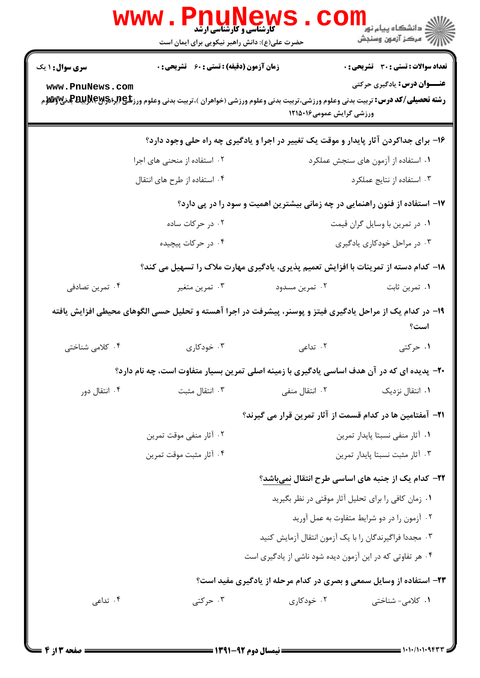|                                                                                                                   | WWW<br><b>گارشناسی و کارشناسی ارشد</b><br>حضرت علی(ع): دانش راهبر نیکویی برای ایمان است            | <b>FNUNEWS</b>                                                    | <mark>ک</mark> دانشگاه پیام نو <mark>ر</mark><br>رآب مرڪز آزمون وسنڊش |  |  |
|-------------------------------------------------------------------------------------------------------------------|----------------------------------------------------------------------------------------------------|-------------------------------------------------------------------|-----------------------------------------------------------------------|--|--|
| <b>سری سوال : ۱ یک</b>                                                                                            | <b>زمان آزمون (دقیقه) : تستی : 60 ٪ تشریحی : 0</b>                                                 |                                                                   | <b>تعداد سوالات : تستی : 30 ٪ تشریحی : 0</b>                          |  |  |
| <b>عنـــوان درس:</b> یادگیری حرکتی<br>www.PnuNews.com<br>ورزشی گرایش عمومی۱۲۱۵۰۱۶                                 |                                                                                                    |                                                                   |                                                                       |  |  |
| ۱۶- برای جداکردن آثار پایدار و موقت یک تغییر در اجرا و یادگیری چه راه حلی وجود دارد؟                              |                                                                                                    |                                                                   |                                                                       |  |  |
|                                                                                                                   | ۲. استفاده از منحنی های اجرا                                                                       |                                                                   | ۰۱ استفاده از آزمون های سنجش عملکرد                                   |  |  |
|                                                                                                                   | ۰۴ استفاده از طرح های انتقال                                                                       | ۰۳ استفاده از نتایج عملکرد                                        |                                                                       |  |  |
| ۱۷– استفاده از فنون راهنمایی در چه زمانی بیشترین اهمیت و سود را در پی دارد؟                                       |                                                                                                    |                                                                   |                                                                       |  |  |
|                                                                                                                   | ۰۲ در حرکات ساده                                                                                   | ۰۱ در تمرین با وسایل گران قیمت                                    |                                                                       |  |  |
|                                                                                                                   | ۰۴ در حرکات پیچیده                                                                                 | ۰۳ در مراحل خودکاری یادگیری                                       |                                                                       |  |  |
|                                                                                                                   | <b>۱۸</b> - کدام دسته از تمرینات با افزایش تعمیم پذیری، یادگیری مهارت ملاک را تسهیل می کند؟        |                                                                   |                                                                       |  |  |
| ۰۴ تمرين تصادفي                                                                                                   | ۰۳ تمرين متغير                                                                                     | ۰۲ تمرین مسدود                                                    | ۰۱ تمرين ثابت                                                         |  |  |
| ۱۹– در کدام یک از مراحل یادگیری فیتز و پوسنر، پیشرفت در اجرا آهسته و تحلیل حسی الگوهای محیطی افزایش یافته<br>است؟ |                                                                                                    |                                                                   |                                                                       |  |  |
| ۰۴ کلامی شناختی                                                                                                   | ۰۳ خودکاری                                                                                         | ۲. تداعی                                                          | ۰۱ حرکتی                                                              |  |  |
|                                                                                                                   | <b>۰۲</b> - پدیده ای که در آن هدف اساسی یادگیری با زمینه اصلی تمرین بسیار متفاوت است، چه نام دارد؟ |                                                                   |                                                                       |  |  |
| ۰۴ انتقال دور                                                                                                     | ۰۳ انتقال مثبت                                                                                     | ۰۲ انتقال منفی                                                    | ۰۱ انتقال نزدیک                                                       |  |  |
|                                                                                                                   |                                                                                                    | <b>۲۱</b> – آمفتامین ها در کدام قسمت از آثار تمرین قرار می گیرند؟ |                                                                       |  |  |
|                                                                                                                   | ۰۲ آثار منفی موقت تمرین                                                                            |                                                                   | ٠١ آثار منفى نسبتا پايدار تمرين                                       |  |  |
|                                                                                                                   | ۰۴ آثار مثبت موقت تمرين                                                                            | ٠٣ آثار مثبت نسبتا پايدار تمرين                                   |                                                                       |  |  |
|                                                                                                                   |                                                                                                    |                                                                   | ۲۲- کدام یک از جنبه های اساسی طرح انتقال نمیباشد؟                     |  |  |
|                                                                                                                   | ٠١ زمان كافي را براي تحليل آثار موقتي در نظر بگيريد                                                |                                                                   |                                                                       |  |  |
|                                                                                                                   | ۰۲ آزمون را در دو شرایط متفاوت به عمل آورید                                                        |                                                                   |                                                                       |  |  |
|                                                                                                                   | ۰۳ مجددا فراگیرندگان را با یک آزمون انتقال آزمایش کنید                                             |                                                                   |                                                                       |  |  |
| ۰۴ هر تفاوتی که در این آزمون دیده شود ناشی از یادگیری است                                                         |                                                                                                    |                                                                   |                                                                       |  |  |
| ۲۳- استفاده از وسایل سمعی و بصری در کدام مرحله از یادگیری مفید است؟                                               |                                                                                                    |                                                                   |                                                                       |  |  |
| ۰۴ تداعی                                                                                                          | ۰۳ حرکتی                                                                                           | ۰۲ خودکاری                                                        | ۰۱ کلامی- شناختی                                                      |  |  |
|                                                                                                                   |                                                                                                    |                                                                   |                                                                       |  |  |